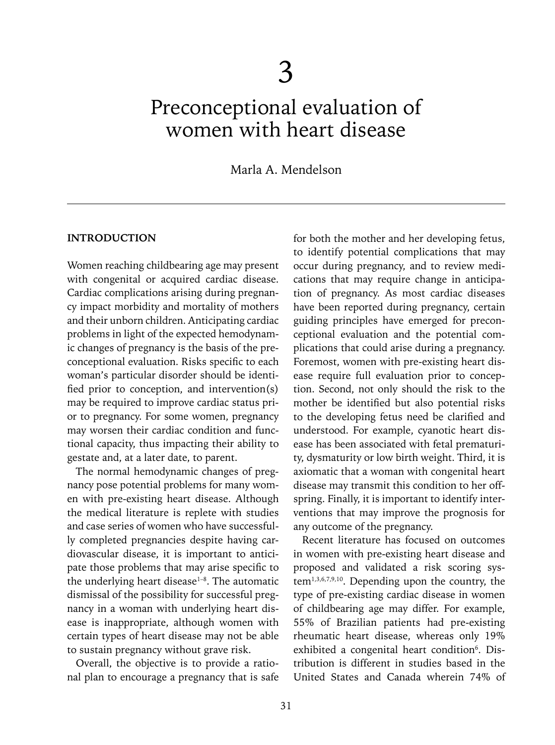# Preconceptional evaluation of women with heart disease

# Marla A. Mendelson

#### **INTRODUCTION**

Women reaching childbearing age may present with congenital or acquired cardiac disease. Cardiac complications arising during pregnancy impact morbidity and mortality of mothers and their unborn children. Anticipating cardiac problems in light of the expected hemodynamic changes of pregnancy is the basis of the preconceptional evaluation. Risks specific to each woman's particular disorder should be identified prior to conception, and intervention(s) may be required to improve cardiac status prior to pregnancy. For some women, pregnancy may worsen their cardiac condition and functional capacity, thus impacting their ability to gestate and, at a later date, to parent.

The normal hemodynamic changes of pregnancy pose potential problems for many women with pre-existing heart disease. Although the medical literature is replete with studies and case series of women who have successfully completed pregnancies despite having cardiovascular disease, it is important to anticipate those problems that may arise specific to the underlying heart disease<sup>1-8</sup>. The automatic dismissal of the possibility for successful pregnancy in a woman with underlying heart disease is inappropriate, although women with certain types of heart disease may not be able to sustain pregnancy without grave risk.

Overall, the objective is to provide a rational plan to encourage a pregnancy that is safe for both the mother and her developing fetus, to identify potential complications that may occur during pregnancy, and to review medications that may require change in anticipation of pregnancy. As most cardiac diseases have been reported during pregnancy, certain guiding principles have emerged for preconceptional evaluation and the potential complications that could arise during a pregnancy. Foremost, women with pre-existing heart disease require full evaluation prior to conception. Second, not only should the risk to the mother be identified but also potential risks to the developing fetus need be clarified and understood. For example, cyanotic heart disease has been associated with fetal prematurity, dysmaturity or low birth weight. Third, it is axiomatic that a woman with congenital heart disease may transmit this condition to her offspring. Finally, it is important to identify interventions that may improve the prognosis for any outcome of the pregnancy.

Recent literature has focused on outcomes in women with pre-existing heart disease and proposed and validated a risk scoring system1,3,6,7,9,10. Depending upon the country, the type of pre-existing cardiac disease in women of childbearing age may differ. For example, 55% of Brazilian patients had pre-existing rheumatic heart disease, whereas only 19% exhibited a congenital heart condition<sup>6</sup>. Distribution is different in studies based in the United States and Canada wherein 74% of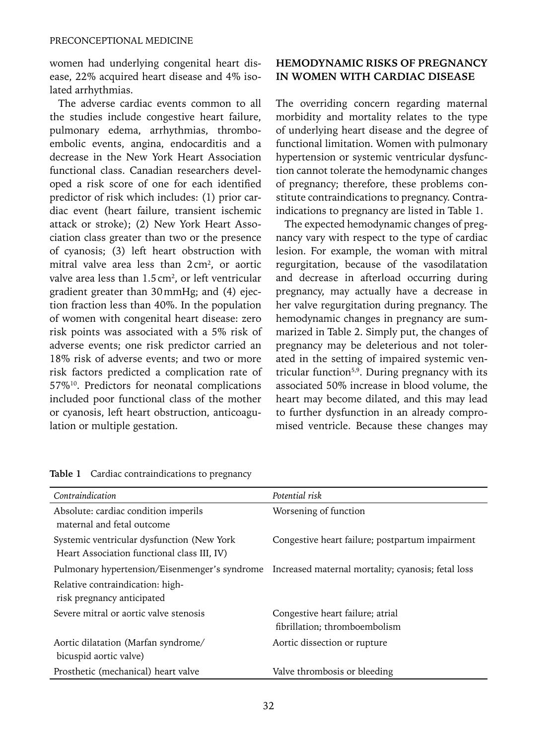women had underlying congenital heart disease, 22% acquired heart disease and 4% isolated arrhythmias.

The adverse cardiac events common to all the studies include congestive heart failure, pulmonary edema, arrhythmias, thromboembolic events, angina, endocarditis and a decrease in the New York Heart Association functional class. Canadian researchers developed a risk score of one for each identified predictor of risk which includes: (1) prior cardiac event (heart failure, transient ischemic attack or stroke); (2) New York Heart Association class greater than two or the presence of cyanosis; (3) left heart obstruction with mitral valve area less than  $2 \text{ cm}^2$ , or aortic valve area less than 1.5 cm<sup>2</sup>, or left ventricular gradient greater than 30mmHg; and (4) ejection fraction less than 40%. In the population of women with congenital heart disease: zero risk points was associated with a 5% risk of adverse events; one risk predictor carried an 18% risk of adverse events; and two or more risk factors predicted a complication rate of 57%10. Predictors for neonatal complications included poor functional class of the mother or cyanosis, left heart obstruction, anticoagulation or multiple gestation.

## **HEMODYNAMIC RISKS OF PREGNANCY IN WOMEN WITH CARDIAC DISEASE**

The overriding concern regarding maternal morbidity and mortality relates to the type of underlying heart disease and the degree of functional limitation. Women with pulmonary hypertension or systemic ventricular dysfunction cannot tolerate the hemodynamic changes of pregnancy; therefore, these problems constitute contraindications to pregnancy. Contraindications to pregnancy are listed in Table 1.

The expected hemodynamic changes of pregnancy vary with respect to the type of cardiac lesion. For example, the woman with mitral regurgitation, because of the vasodilatation and decrease in afterload occurring during pregnancy, may actually have a decrease in her valve regurgitation during pregnancy. The hemodynamic changes in pregnancy are summarized in Table 2. Simply put, the changes of pregnancy may be deleterious and not tolerated in the setting of impaired systemic ventricular function<sup>5,9</sup>. During pregnancy with its associated 50% increase in blood volume, the heart may become dilated, and this may lead to further dysfunction in an already compromised ventricle. Because these changes may

| Contraindication                                                                                 | Potential risk                                  |
|--------------------------------------------------------------------------------------------------|-------------------------------------------------|
| Absolute: cardiac condition imperils<br>maternal and fetal outcome                               | Worsening of function                           |
| Systemic ventricular dysfunction (New York)<br>Heart Association functional class III, IV)       | Congestive heart failure; postpartum impairment |
| Pulmonary hypertension/Eisenmenger's syndrome Increased maternal mortality; cyanosis; fetal loss |                                                 |
| Relative contraindication: high-<br>risk pregnancy anticipated                                   |                                                 |
| Severe mitral or aortic valve stenosis                                                           | Congestive heart failure; atrial                |
|                                                                                                  | fibrillation; thromboembolism                   |
| Aortic dilatation (Marfan syndrome/<br>bicuspid aortic valve)                                    | Aortic dissection or rupture                    |
| Prosthetic (mechanical) heart valve                                                              | Valve thrombosis or bleeding                    |

**Table 1** Cardiac contraindications to pregnancy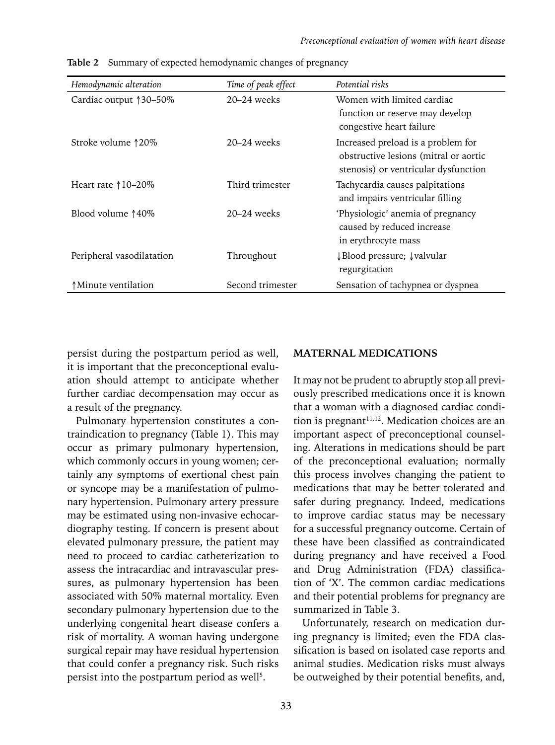| Hemodynamic alteration       | Time of peak effect | Potential risks                                                                                                     |
|------------------------------|---------------------|---------------------------------------------------------------------------------------------------------------------|
| Cardiac output 130–50%       | $20-24$ weeks       | Women with limited cardiac<br>function or reserve may develop<br>congestive heart failure                           |
| Stroke volume ↑20%           | $20-24$ weeks       | Increased preload is a problem for<br>obstructive lesions (mitral or aortic<br>stenosis) or ventricular dysfunction |
| Heart rate $\uparrow$ 10–20% | Third trimester     | Tachycardia causes palpitations<br>and impairs ventricular filling                                                  |
| Blood volume 140\%           | $20-24$ weeks       | 'Physiologic' anemia of pregnancy<br>caused by reduced increase<br>in erythrocyte mass                              |
| Peripheral vasodilatation    | Throughout          | ↓Blood pressure; ↓valvular<br>regurgitation                                                                         |
| ↑Minute ventilation          | Second trimester    | Sensation of tachypnea or dyspnea                                                                                   |

**Table 2** Summary of expected hemodynamic changes of pregnancy

persist during the postpartum period as well, it is important that the preconceptional evaluation should attempt to anticipate whether further cardiac decompensation may occur as a result of the pregnancy.

Pulmonary hypertension constitutes a contraindication to pregnancy (Table 1). This may occur as primary pulmonary hypertension, which commonly occurs in young women; certainly any symptoms of exertional chest pain or syncope may be a manifestation of pulmonary hypertension. Pulmonary artery pressure may be estimated using non-invasive echocardiography testing. If concern is present about elevated pulmonary pressure, the patient may need to proceed to cardiac catheterization to assess the intracardiac and intravascular pressures, as pulmonary hypertension has been associated with 50% maternal mortality. Even secondary pulmonary hypertension due to the underlying congenital heart disease confers a risk of mortality. A woman having undergone surgical repair may have residual hypertension that could confer a pregnancy risk. Such risks persist into the postpartum period as well<sup>5</sup>.

## **MATERNAL MEDICATIONS**

It may not be prudent to abruptly stop all previously prescribed medications once it is known that a woman with a diagnosed cardiac condition is pregnant<sup>11,12</sup>. Medication choices are an important aspect of preconceptional counseling. Alterations in medications should be part of the preconceptional evaluation; normally this process involves changing the patient to medications that may be better tolerated and safer during pregnancy. Indeed, medications to improve cardiac status may be necessary for a successful pregnancy outcome. Certain of these have been classified as contraindicated during pregnancy and have received a Food and Drug Administration (FDA) classification of 'X'. The common cardiac medications and their potential problems for pregnancy are summarized in Table 3.

Unfortunately, research on medication during pregnancy is limited; even the FDA classification is based on isolated case reports and animal studies. Medication risks must always be outweighed by their potential benefits, and,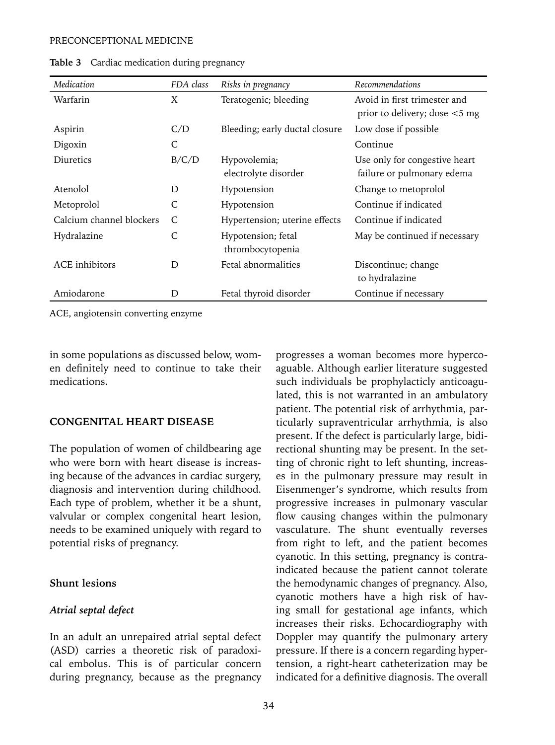#### PRECONCEPTIONAL MEDICINE

| Medication               | FDA class | Risks in pregnancy             | Recommendations                  |  |  |
|--------------------------|-----------|--------------------------------|----------------------------------|--|--|
| Warfarin                 | X         | Teratogenic; bleeding          | Avoid in first trimester and     |  |  |
|                          |           |                                | prior to delivery; dose $<$ 5 mg |  |  |
| Aspirin                  | C/D       | Bleeding; early ductal closure | Low dose if possible             |  |  |
| Digoxin                  | С         |                                | Continue                         |  |  |
| Diuretics                | B/C/D     | Hypovolemia;                   | Use only for congestive heart    |  |  |
|                          |           | electrolyte disorder           | failure or pulmonary edema       |  |  |
| Atenolol                 | D         | Hypotension                    | Change to metoprolol             |  |  |
| Metoprolol               | C         | Hypotension                    | Continue if indicated            |  |  |
| Calcium channel blockers | C         | Hypertension; uterine effects  | Continue if indicated            |  |  |
| Hydralazine              | C         | Hypotension; fetal             | May be continued if necessary    |  |  |
|                          |           | thrombocytopenia               |                                  |  |  |
| ACE inhibitors           | D         | Fetal abnormalities            | Discontinue; change              |  |  |
|                          |           |                                | to hydralazine                   |  |  |
| Amiodarone               | D         | Fetal thyroid disorder         | Continue if necessary            |  |  |

**Table 3** Cardiac medication during pregnancy

ACE, angiotensin converting enzyme

in some populations as discussed below, women definitely need to continue to take their medications.

#### **CONGENITAL HEART DISEASE**

The population of women of childbearing age who were born with heart disease is increasing because of the advances in cardiac surgery, diagnosis and intervention during childhood. Each type of problem, whether it be a shunt, valvular or complex congenital heart lesion, needs to be examined uniquely with regard to potential risks of pregnancy.

## **Shunt lesions**

#### *Atrial septal defect*

In an adult an unrepaired atrial septal defect (ASD) carries a theoretic risk of paradoxical embolus. This is of particular concern during pregnancy, because as the pregnancy progresses a woman becomes more hypercoaguable. Although earlier literature suggested such individuals be prophylacticly anticoagulated, this is not warranted in an ambulatory patient. The potential risk of arrhythmia, particularly supraventricular arrhythmia, is also present. If the defect is particularly large, bidirectional shunting may be present. In the setting of chronic right to left shunting, increases in the pulmonary pressure may result in Eisenmenger's syndrome, which results from progressive increases in pulmonary vascular flow causing changes within the pulmonary vasculature. The shunt eventually reverses from right to left, and the patient becomes cyanotic. In this setting, pregnancy is contraindicated because the patient cannot tolerate the hemodynamic changes of pregnancy. Also, cyanotic mothers have a high risk of having small for gestational age infants, which increases their risks. Echocardiography with Doppler may quantify the pulmonary artery pressure. If there is a concern regarding hypertension, a right-heart catheterization may be indicated for a definitive diagnosis. The overall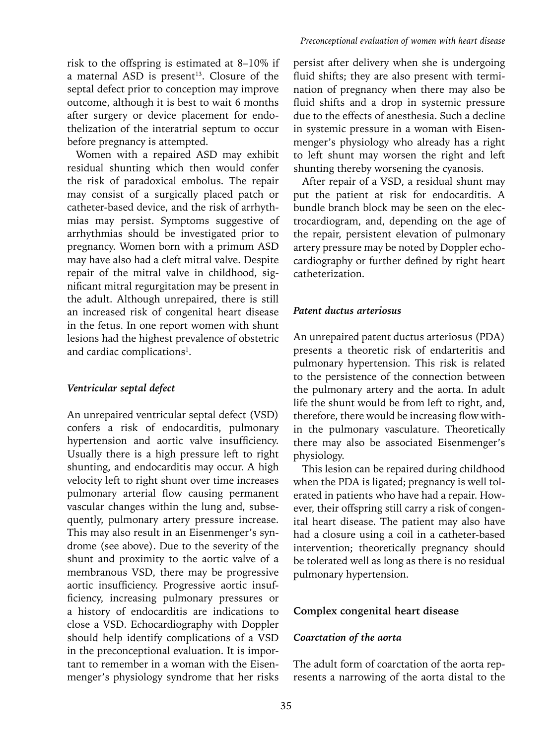Women with a repaired ASD may exhibit residual shunting which then would confer the risk of paradoxical embolus. The repair may consist of a surgically placed patch or catheter-based device, and the risk of arrhythmias may persist. Symptoms suggestive of arrhythmias should be investigated prior to pregnancy. Women born with a primum ASD may have also had a cleft mitral valve. Despite repair of the mitral valve in childhood, significant mitral regurgitation may be present in the adult. Although unrepaired, there is still an increased risk of congenital heart disease in the fetus. In one report women with shunt lesions had the highest prevalence of obstetric and cardiac complications<sup>1</sup>.

## *Ventricular septal defect*

An unrepaired ventricular septal defect (VSD) confers a risk of endocarditis, pulmonary hypertension and aortic valve insufficiency. Usually there is a high pressure left to right shunting, and endocarditis may occur. A high velocity left to right shunt over time increases pulmonary arterial flow causing permanent vascular changes within the lung and, subsequently, pulmonary artery pressure increase. This may also result in an Eisenmenger's syndrome (see above). Due to the severity of the shunt and proximity to the aortic valve of a membranous VSD, there may be progressive aortic insufficiency. Progressive aortic insufficiency, increasing pulmonary pressures or a history of endocarditis are indications to close a VSD. Echocardiography with Doppler should help identify complications of a VSD in the preconceptional evaluation. It is important to remember in a woman with the Eisenmenger's physiology syndrome that her risks

persist after delivery when she is undergoing fluid shifts; they are also present with termination of pregnancy when there may also be fluid shifts and a drop in systemic pressure due to the effects of anesthesia. Such a decline in systemic pressure in a woman with Eisenmenger's physiology who already has a right to left shunt may worsen the right and left shunting thereby worsening the cyanosis.

After repair of a VSD, a residual shunt may put the patient at risk for endocarditis. A bundle branch block may be seen on the electrocardiogram, and, depending on the age of the repair, persistent elevation of pulmonary artery pressure may be noted by Doppler echocardiography or further defined by right heart catheterization.

## *Patent ductus arteriosus*

An unrepaired patent ductus arteriosus (PDA) presents a theoretic risk of endarteritis and pulmonary hypertension. This risk is related to the persistence of the connection between the pulmonary artery and the aorta. In adult life the shunt would be from left to right, and, therefore, there would be increasing flow within the pulmonary vasculature. Theoretically there may also be associated Eisenmenger's physiology.

This lesion can be repaired during childhood when the PDA is ligated; pregnancy is well tolerated in patients who have had a repair. However, their offspring still carry a risk of congenital heart disease. The patient may also have had a closure using a coil in a catheter-based intervention; theoretically pregnancy should be tolerated well as long as there is no residual pulmonary hypertension.

## **Complex congenital heart disease**

## *Coarctation of the aorta*

The adult form of coarctation of the aorta represents a narrowing of the aorta distal to the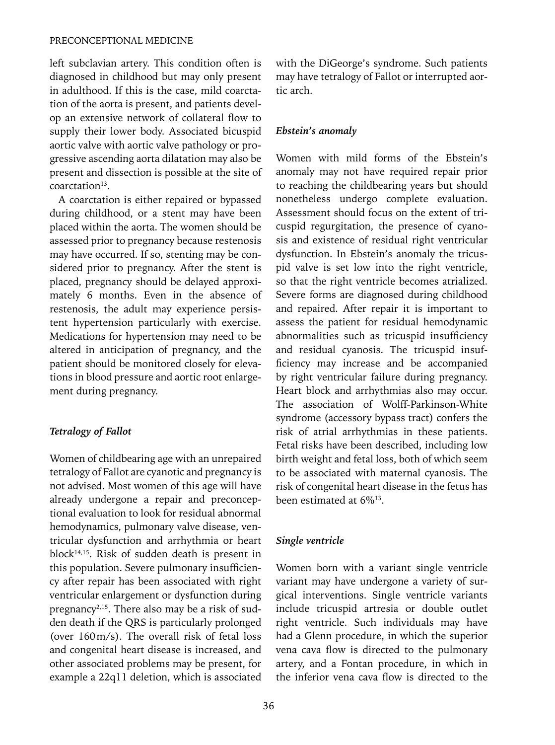left subclavian artery. This condition often is diagnosed in childhood but may only present in adulthood. If this is the case, mild coarctation of the aorta is present, and patients develop an extensive network of collateral flow to supply their lower body. Associated bicuspid aortic valve with aortic valve pathology or progressive ascending aorta dilatation may also be present and dissection is possible at the site of coarctation<sup>13</sup>.

A coarctation is either repaired or bypassed during childhood, or a stent may have been placed within the aorta. The women should be assessed prior to pregnancy because restenosis may have occurred. If so, stenting may be considered prior to pregnancy. After the stent is placed, pregnancy should be delayed approximately 6 months. Even in the absence of restenosis, the adult may experience persistent hypertension particularly with exercise. Medications for hypertension may need to be altered in anticipation of pregnancy, and the patient should be monitored closely for elevations in blood pressure and aortic root enlargement during pregnancy.

## *Tetralogy of Fallot*

Women of childbearing age with an unrepaired tetralogy of Fallot are cyanotic and pregnancy is not advised. Most women of this age will have already undergone a repair and preconceptional evaluation to look for residual abnormal hemodynamics, pulmonary valve disease, ventricular dysfunction and arrhythmia or heart block14,15. Risk of sudden death is present in this population. Severe pulmonary insufficiency after repair has been associated with right ventricular enlargement or dysfunction during pregnancy<sup>2,15</sup>. There also may be a risk of sudden death if the QRS is particularly prolonged (over 160m/s). The overall risk of fetal loss and congenital heart disease is increased, and other associated problems may be present, for example a 22q11 deletion, which is associated with the DiGeorge's syndrome. Such patients may have tetralogy of Fallot or interrupted aortic arch.

## *Ebstein's anomaly*

Women with mild forms of the Ebstein's anomaly may not have required repair prior to reaching the childbearing years but should nonetheless undergo complete evaluation. Assessment should focus on the extent of tricuspid regurgitation, the presence of cyanosis and existence of residual right ventricular dysfunction. In Ebstein's anomaly the tricuspid valve is set low into the right ventricle, so that the right ventricle becomes atrialized. Severe forms are diagnosed during childhood and repaired. After repair it is important to assess the patient for residual hemodynamic abnormalities such as tricuspid insufficiency and residual cyanosis. The tricuspid insufficiency may increase and be accompanied by right ventricular failure during pregnancy. Heart block and arrhythmias also may occur. The association of Wolff-Parkinson-White syndrome (accessory bypass tract) confers the risk of atrial arrhythmias in these patients. Fetal risks have been described, including low birth weight and fetal loss, both of which seem to be associated with maternal cyanosis. The risk of congenital heart disease in the fetus has been estimated at 6%13.

#### *Single ventricle*

Women born with a variant single ventricle variant may have undergone a variety of surgical interventions. Single ventricle variants include tricuspid artresia or double outlet right ventricle. Such individuals may have had a Glenn procedure, in which the superior vena cava flow is directed to the pulmonary artery, and a Fontan procedure, in which in the inferior vena cava flow is directed to the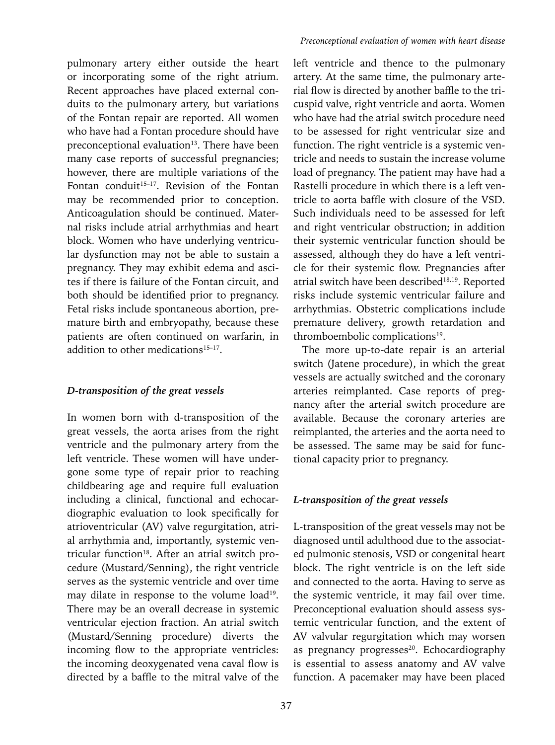pulmonary artery either outside the heart or incorporating some of the right atrium. Recent approaches have placed external conduits to the pulmonary artery, but variations of the Fontan repair are reported. All women who have had a Fontan procedure should have preconceptional evaluation<sup>13</sup>. There have been many case reports of successful pregnancies; however, there are multiple variations of the Fontan conduit<sup>15–17</sup>. Revision of the Fontan may be recommended prior to conception. Anticoagulation should be continued. Maternal risks include atrial arrhythmias and heart block. Women who have underlying ventricular dysfunction may not be able to sustain a pregnancy. They may exhibit edema and ascites if there is failure of the Fontan circuit, and both should be identified prior to pregnancy. Fetal risks include spontaneous abortion, premature birth and embryopathy, because these patients are often continued on warfarin, in addition to other medications $15-17$ .

## *D-transposition of the great vessels*

In women born with d-transposition of the great vessels, the aorta arises from the right ventricle and the pulmonary artery from the left ventricle. These women will have undergone some type of repair prior to reaching childbearing age and require full evaluation including a clinical, functional and echocardiographic evaluation to look specifically for atrioventricular (AV) valve regurgitation, atrial arrhythmia and, importantly, systemic ventricular function<sup>18</sup>. After an atrial switch procedure (Mustard/Senning), the right ventricle serves as the systemic ventricle and over time may dilate in response to the volume load<sup>19</sup>. There may be an overall decrease in systemic ventricular ejection fraction. An atrial switch (Mustard/Senning procedure) diverts the incoming flow to the appropriate ventricles: the incoming deoxygenated vena caval flow is directed by a baffle to the mitral valve of the left ventricle and thence to the pulmonary artery. At the same time, the pulmonary arterial flow is directed by another baffle to the tricuspid valve, right ventricle and aorta. Women who have had the atrial switch procedure need to be assessed for right ventricular size and function. The right ventricle is a systemic ventricle and needs to sustain the increase volume load of pregnancy. The patient may have had a Rastelli procedure in which there is a left ventricle to aorta baffle with closure of the VSD. Such individuals need to be assessed for left and right ventricular obstruction; in addition their systemic ventricular function should be assessed, although they do have a left ventricle for their systemic flow. Pregnancies after atrial switch have been described<sup>18,19</sup>. Reported risks include systemic ventricular failure and arrhythmias. Obstetric complications include premature delivery, growth retardation and thromboembolic complications<sup>19</sup>.

The more up-to-date repair is an arterial switch (Jatene procedure), in which the great vessels are actually switched and the coronary arteries reimplanted. Case reports of pregnancy after the arterial switch procedure are available. Because the coronary arteries are reimplanted, the arteries and the aorta need to be assessed. The same may be said for functional capacity prior to pregnancy.

## *L-transposition of the great vessels*

L-transposition of the great vessels may not be diagnosed until adulthood due to the associated pulmonic stenosis, VSD or congenital heart block. The right ventricle is on the left side and connected to the aorta. Having to serve as the systemic ventricle, it may fail over time. Preconceptional evaluation should assess systemic ventricular function, and the extent of AV valvular regurgitation which may worsen as pregnancy progresses<sup>20</sup>. Echocardiography is essential to assess anatomy and AV valve function. A pacemaker may have been placed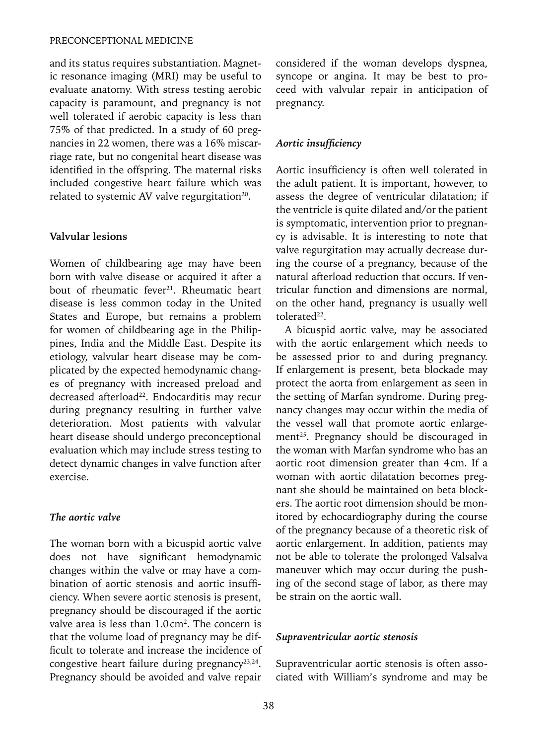#### PRECONCEPTIONAL MEDICINE

and its status requires substantiation. Magnetic resonance imaging (MRI) may be useful to evaluate anatomy. With stress testing aerobic capacity is paramount, and pregnancy is not well tolerated if aerobic capacity is less than 75% of that predicted. In a study of 60 pregnancies in 22 women, there was a 16% miscarriage rate, but no congenital heart disease was identified in the offspring. The maternal risks included congestive heart failure which was related to systemic AV valve regurgitation<sup>20</sup>.

## **Valvular lesions**

Women of childbearing age may have been born with valve disease or acquired it after a bout of rheumatic fever<sup>21</sup>. Rheumatic heart disease is less common today in the United States and Europe, but remains a problem for women of childbearing age in the Philippines, India and the Middle East. Despite its etiology, valvular heart disease may be complicated by the expected hemodynamic changes of pregnancy with increased preload and decreased afterload<sup>22</sup>. Endocarditis may recur during pregnancy resulting in further valve deterioration. Most patients with valvular heart disease should undergo preconceptional evaluation which may include stress testing to detect dynamic changes in valve function after exercise.

#### *The aortic valve*

The woman born with a bicuspid aortic valve does not have significant hemodynamic changes within the valve or may have a combination of aortic stenosis and aortic insufficiency. When severe aortic stenosis is present, pregnancy should be discouraged if the aortic valve area is less than 1.0cm<sup>2</sup>. The concern is that the volume load of pregnancy may be difficult to tolerate and increase the incidence of congestive heart failure during pregnancy<sup>23,24</sup>. Pregnancy should be avoided and valve repair

considered if the woman develops dyspnea, syncope or angina. It may be best to proceed with valvular repair in anticipation of pregnancy.

#### *Aortic insufficiency*

Aortic insufficiency is often well tolerated in the adult patient. It is important, however, to assess the degree of ventricular dilatation; if the ventricle is quite dilated and/or the patient is symptomatic, intervention prior to pregnancy is advisable. It is interesting to note that valve regurgitation may actually decrease during the course of a pregnancy, because of the natural afterload reduction that occurs. If ventricular function and dimensions are normal, on the other hand, pregnancy is usually well tolerated<sup>22</sup>.

A bicuspid aortic valve, may be associated with the aortic enlargement which needs to be assessed prior to and during pregnancy. If enlargement is present, beta blockade may protect the aorta from enlargement as seen in the setting of Marfan syndrome. During pregnancy changes may occur within the media of the vessel wall that promote aortic enlargement<sup>25</sup>. Pregnancy should be discouraged in the woman with Marfan syndrome who has an aortic root dimension greater than 4cm. If a woman with aortic dilatation becomes pregnant she should be maintained on beta blockers. The aortic root dimension should be monitored by echocardiography during the course of the pregnancy because of a theoretic risk of aortic enlargement. In addition, patients may not be able to tolerate the prolonged Valsalva maneuver which may occur during the pushing of the second stage of labor, as there may be strain on the aortic wall.

#### *Supraventricular aortic stenosis*

Supraventricular aortic stenosis is often associated with William's syndrome and may be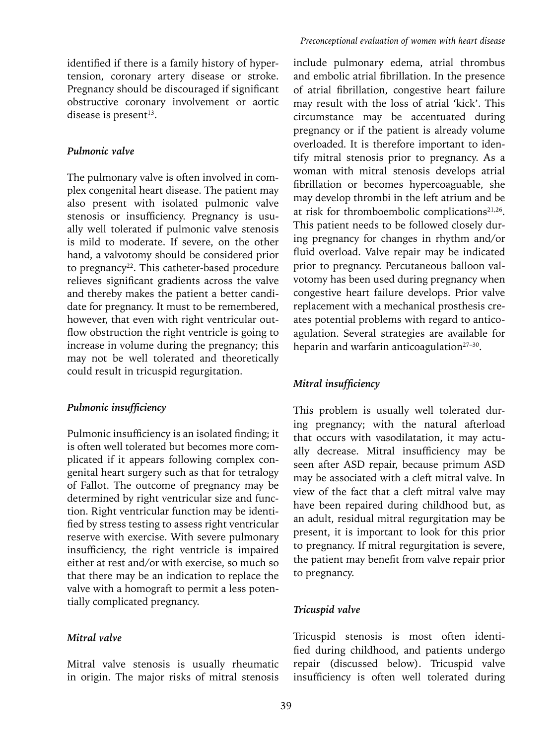#### *Pulmonic valve*

The pulmonary valve is often involved in complex congenital heart disease. The patient may also present with isolated pulmonic valve stenosis or insufficiency. Pregnancy is usually well tolerated if pulmonic valve stenosis is mild to moderate. If severe, on the other hand, a valvotomy should be considered prior to pregnancy<sup>22</sup>. This catheter-based procedure relieves significant gradients across the valve and thereby makes the patient a better candidate for pregnancy. It must to be remembered, however, that even with right ventricular outflow obstruction the right ventricle is going to increase in volume during the pregnancy; this may not be well tolerated and theoretically could result in tricuspid regurgitation.

#### *Pulmonic insufficiency*

Pulmonic insufficiency is an isolated finding; it is often well tolerated but becomes more complicated if it appears following complex congenital heart surgery such as that for tetralogy of Fallot. The outcome of pregnancy may be determined by right ventricular size and function. Right ventricular function may be identified by stress testing to assess right ventricular reserve with exercise. With severe pulmonary insufficiency, the right ventricle is impaired either at rest and/or with exercise, so much so that there may be an indication to replace the valve with a homograft to permit a less potentially complicated pregnancy.

## *Mitral valve*

Mitral valve stenosis is usually rheumatic in origin. The major risks of mitral stenosis

include pulmonary edema, atrial thrombus and embolic atrial fibrillation. In the presence of atrial fibrillation, congestive heart failure may result with the loss of atrial 'kick'. This circumstance may be accentuated during pregnancy or if the patient is already volume overloaded. It is therefore important to identify mitral stenosis prior to pregnancy. As a woman with mitral stenosis develops atrial fibrillation or becomes hypercoaguable, she may develop thrombi in the left atrium and be at risk for thromboembolic complications<sup>21,26</sup>. This patient needs to be followed closely during pregnancy for changes in rhythm and/or fluid overload. Valve repair may be indicated prior to pregnancy. Percutaneous balloon valvotomy has been used during pregnancy when congestive heart failure develops. Prior valve replacement with a mechanical prosthesis creates potential problems with regard to anticoagulation. Several strategies are available for heparin and warfarin anticoagulation $27-30$ .

## *Mitral insufficiency*

This problem is usually well tolerated during pregnancy; with the natural afterload that occurs with vasodilatation, it may actually decrease. Mitral insufficiency may be seen after ASD repair, because primum ASD may be associated with a cleft mitral valve. In view of the fact that a cleft mitral valve may have been repaired during childhood but, as an adult, residual mitral regurgitation may be present, it is important to look for this prior to pregnancy. If mitral regurgitation is severe, the patient may benefit from valve repair prior to pregnancy.

## *Tricuspid valve*

Tricuspid stenosis is most often identified during childhood, and patients undergo repair (discussed below). Tricuspid valve insufficiency is often well tolerated during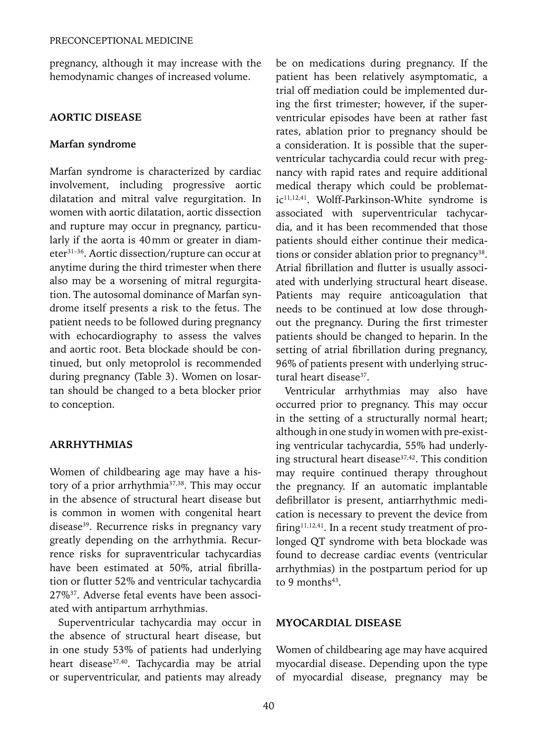pregnancy, although it may increase with the hemodynamic changes of increased volume.

### **AORTIC DISEASE**

#### **Marfan syndrome**

Marfan syndrome is characterized by cardiac involvement, including progressive aortic dilatation and mitral valve regurgitation. In women with aortic dilatation, aortic dissection and rupture may occur in pregnancy, particularly if the aorta is 40mm or greater in diameter31–36. Aortic dissection/rupture can occur at anytime during the third trimester when there also may be a worsening of mitral regurgitation. The autosomal dominance of Marfan syndrome itself presents a risk to the fetus. The patient needs to be followed during pregnancy with echocardiography to assess the valves and aortic root. Beta blockade should be continued, but only metoprolol is recommended during pregnancy (Table 3). Women on losartan should be changed to a beta blocker prior to conception.

## **ARRHYTHMIAS**

Women of childbearing age may have a history of a prior arrhythmia<sup>37,38</sup>. This may occur in the absence of structural heart disease but is common in women with congenital heart disease<sup>39</sup>. Recurrence risks in pregnancy vary greatly depending on the arrhythmia. Recurrence risks for supraventricular tachycardias have been estimated at 50%, atrial fibrillation or flutter 52% and ventricular tachycardia 27%37. Adverse fetal events have been associated with antipartum arrhythmias.

Superventricular tachycardia may occur in the absence of structural heart disease, but in one study 53% of patients had underlying heart disease<sup>37,40</sup>. Tachycardia may be atrial or superventricular, and patients may already be on medications during pregnancy. If the patient has been relatively asymptomatic, a trial off mediation could be implemented during the first trimester; however, if the superventricular episodes have been at rather fast rates, ablation prior to pregnancy should be a consideration. It is possible that the superventricular tachycardia could recur with pregnancy with rapid rates and require additional medical therapy which could be problematic<sup>11,12,41</sup>. Wolff-Parkinson-White syndrome is associated with superventricular tachycardia, and it has been recommended that those patients should either continue their medications or consider ablation prior to pregnancy<sup>38</sup>. Atrial fibrillation and flutter is usually associated with underlying structural heart disease. Patients may require anticoagulation that needs to be continued at low dose throughout the pregnancy. During the first trimester patients should be changed to heparin. In the setting of atrial fibrillation during pregnancy, 96% of patients present with underlying structural heart disease<sup>37</sup>.

Ventricular arrhythmias may also have occurred prior to pregnancy. This may occur in the setting of a structurally normal heart; although in one study in women with pre-existing ventricular tachycardia, 55% had underlying structural heart disease<sup>37,42</sup>. This condition may require continued therapy throughout the pregnancy. If an automatic implantable defibrillator is present, antiarrhythmic medication is necessary to prevent the device from firing<sup>11,12,41</sup>. In a recent study treatment of prolonged QT syndrome with beta blockade was found to decrease cardiac events (ventricular arrhythmias) in the postpartum period for up to 9 months $43$ .

#### **MYOCARDIAL DISEASE**

Women of childbearing age may have acquired myocardial disease. Depending upon the type of myocardial disease, pregnancy may be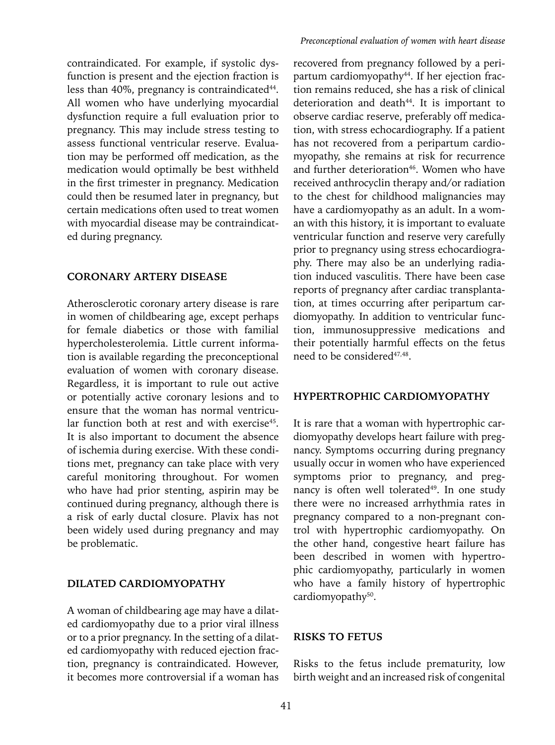contraindicated. For example, if systolic dysfunction is present and the ejection fraction is less than  $40\%$ , pregnancy is contraindicated $44$ . All women who have underlying myocardial dysfunction require a full evaluation prior to pregnancy. This may include stress testing to assess functional ventricular reserve. Evaluation may be performed off medication, as the medication would optimally be best withheld in the first trimester in pregnancy. Medication could then be resumed later in pregnancy, but certain medications often used to treat women with myocardial disease may be contraindicated during pregnancy.

#### **CORONARY ARTERY DISEASE**

Atherosclerotic coronary artery disease is rare in women of childbearing age, except perhaps for female diabetics or those with familial hypercholesterolemia. Little current information is available regarding the preconceptional evaluation of women with coronary disease. Regardless, it is important to rule out active or potentially active coronary lesions and to ensure that the woman has normal ventricular function both at rest and with exercise<sup>45</sup>. It is also important to document the absence of ischemia during exercise. With these conditions met, pregnancy can take place with very careful monitoring throughout. For women who have had prior stenting, aspirin may be continued during pregnancy, although there is a risk of early ductal closure. Plavix has not been widely used during pregnancy and may be problematic.

#### **DILATED CARDIOMYOPATHY**

A woman of childbearing age may have a dilated cardiomyopathy due to a prior viral illness or to a prior pregnancy. In the setting of a dilated cardiomyopathy with reduced ejection fraction, pregnancy is contraindicated. However, it becomes more controversial if a woman has

recovered from pregnancy followed by a peripartum cardiomyopathy<sup>44</sup>. If her ejection fraction remains reduced, she has a risk of clinical deterioration and death<sup>44</sup>. It is important to observe cardiac reserve, preferably off medication, with stress echocardiography. If a patient has not recovered from a peripartum cardiomyopathy, she remains at risk for recurrence and further deterioration<sup>46</sup>. Women who have received anthrocyclin therapy and/or radiation to the chest for childhood malignancies may have a cardiomyopathy as an adult. In a woman with this history, it is important to evaluate ventricular function and reserve very carefully prior to pregnancy using stress echocardiography. There may also be an underlying radiation induced vasculitis. There have been case reports of pregnancy after cardiac transplantation, at times occurring after peripartum cardiomyopathy. In addition to ventricular function, immunosuppressive medications and their potentially harmful effects on the fetus need to be considered<sup>47,48</sup>.

#### **HYPERTROPHIC CARDIOMYOPATHY**

It is rare that a woman with hypertrophic cardiomyopathy develops heart failure with pregnancy. Symptoms occurring during pregnancy usually occur in women who have experienced symptoms prior to pregnancy, and pregnancy is often well tolerated<sup>49</sup>. In one study there were no increased arrhythmia rates in pregnancy compared to a non-pregnant control with hypertrophic cardiomyopathy. On the other hand, congestive heart failure has been described in women with hypertrophic cardiomyopathy, particularly in women who have a family history of hypertrophic cardiomyopathy<sup>50</sup>.

## **RISKS TO FETUS**

Risks to the fetus include prematurity, low birth weight and an increased risk of congenital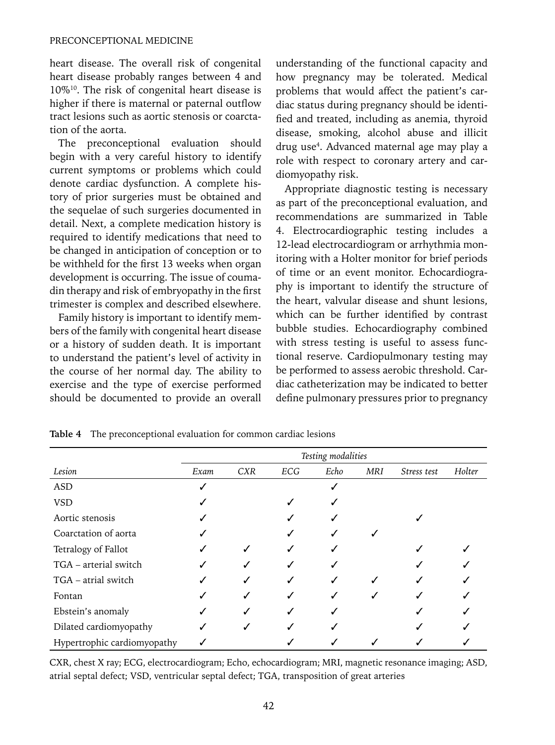heart disease. The overall risk of congenital heart disease probably ranges between 4 and 10%10. The risk of congenital heart disease is higher if there is maternal or paternal outflow tract lesions such as aortic stenosis or coarctation of the aorta.

The preconceptional evaluation should begin with a very careful history to identify current symptoms or problems which could denote cardiac dysfunction. A complete history of prior surgeries must be obtained and the sequelae of such surgeries documented in detail. Next, a complete medication history is required to identify medications that need to be changed in anticipation of conception or to be withheld for the first 13 weeks when organ development is occurring. The issue of coumadin therapy and risk of embryopathy in the first trimester is complex and described elsewhere.

Family history is important to identify members of the family with congenital heart disease or a history of sudden death. It is important to understand the patient's level of activity in the course of her normal day. The ability to exercise and the type of exercise performed should be documented to provide an overall understanding of the functional capacity and how pregnancy may be tolerated. Medical problems that would affect the patient's cardiac status during pregnancy should be identified and treated, including as anemia, thyroid disease, smoking, alcohol abuse and illicit drug use4 . Advanced maternal age may play a role with respect to coronary artery and cardiomyopathy risk.

Appropriate diagnostic testing is necessary as part of the preconceptional evaluation, and recommendations are summarized in Table 4. Electrocardiographic testing includes a 12-lead electrocardiogram or arrhythmia monitoring with a Holter monitor for brief periods of time or an event monitor. Echocardiography is important to identify the structure of the heart, valvular disease and shunt lesions, which can be further identified by contrast bubble studies. Echocardiography combined with stress testing is useful to assess functional reserve. Cardiopulmonary testing may be performed to assess aerobic threshold. Cardiac catheterization may be indicated to better define pulmonary pressures prior to pregnancy

|                             | Testing modalities |            |     |      |            |             |        |
|-----------------------------|--------------------|------------|-----|------|------------|-------------|--------|
| Lesion                      | Exam               | <b>CXR</b> | ECG | Echo | <b>MRI</b> | Stress test | Holter |
| ASD                         |                    |            |     |      |            |             |        |
| <b>VSD</b>                  |                    |            |     |      |            |             |        |
| Aortic stenosis             |                    |            |     |      |            |             |        |
| Coarctation of aorta        |                    |            |     |      |            |             |        |
| Tetralogy of Fallot         |                    |            |     |      |            |             |        |
| TGA – arterial switch       |                    |            |     |      |            |             |        |
| TGA - atrial switch         |                    |            |     |      |            |             |        |
| Fontan                      |                    |            |     |      |            |             |        |
| Ebstein's anomaly           |                    |            |     |      |            |             |        |
| Dilated cardiomyopathy      |                    |            |     |      |            |             |        |
| Hypertrophic cardiomyopathy |                    |            |     |      |            |             |        |

**Table 4** The preconceptional evaluation for common cardiac lesions

CXR, chest X ray; ECG, electrocardiogram; Echo, echocardiogram; MRI, magnetic resonance imaging; ASD, atrial septal defect; VSD, ventricular septal defect; TGA, transposition of great arteries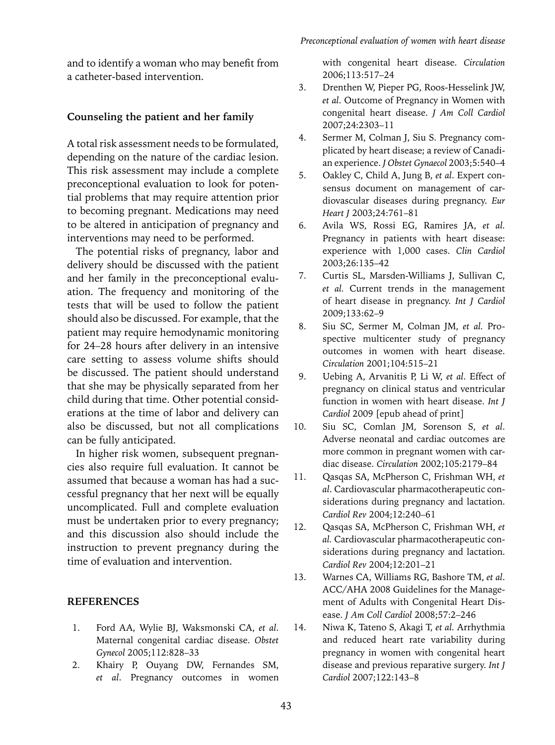and to identify a woman who may benefit from a catheter-based intervention.

## **Counseling the patient and her family**

A total risk assessment needs to be formulated, depending on the nature of the cardiac lesion. This risk assessment may include a complete preconceptional evaluation to look for potential problems that may require attention prior to becoming pregnant. Medications may need to be altered in anticipation of pregnancy and interventions may need to be performed.

The potential risks of pregnancy, labor and delivery should be discussed with the patient and her family in the preconceptional evaluation. The frequency and monitoring of the tests that will be used to follow the patient should also be discussed. For example, that the patient may require hemodynamic monitoring for 24–28 hours after delivery in an intensive care setting to assess volume shifts should be discussed. The patient should understand that she may be physically separated from her child during that time. Other potential considerations at the time of labor and delivery can also be discussed, but not all complications can be fully anticipated.

In higher risk women, subsequent pregnancies also require full evaluation. It cannot be assumed that because a woman has had a successful pregnancy that her next will be equally uncomplicated. Full and complete evaluation must be undertaken prior to every pregnancy; and this discussion also should include the instruction to prevent pregnancy during the time of evaluation and intervention.

#### **References**

- 1. Ford AA, Wylie BJ, Waksmonski CA, *et al*. Maternal congenital cardiac disease. *Obstet Gynecol* 2005;112:828–33
- 2. Khairy P, Ouyang DW, Fernandes SM, *et al*. Pregnancy outcomes in women

with congenital heart disease. *Circulation* 2006;113:517–24

- 3. Drenthen W, Pieper PG, Roos-Hesselink JW, *et al*. Outcome of Pregnancy in Women with congenital heart disease. *J Am Coll Cardiol*  2007;24:2303–11
- 4. Sermer M, Colman J, Siu S. Pregnancy complicated by heart disease; a review of Canadian experience. *J Obstet Gynaecol* 2003;5:540–4
- 5. Oakley C, Child A, Jung B, *et al*. Expert consensus document on management of cardiovascular diseases during pregnancy. *Eur Heart J* 2003;24:761–81
- 6. Avila WS, Rossi EG, Ramires JA, *et al.*  Pregnancy in patients with heart disease: experience with 1,000 cases. *Clin Cardiol*  2003;26:135–42
- 7. Curtis SL, Marsden-Williams J, Sullivan C, *et al.* Current trends in the management of heart disease in pregnancy. *Int J Cardiol*  2009;133:62–9
- 8. Siu SC, Sermer M, Colman JM, *et al.* Prospective multicenter study of pregnancy outcomes in women with heart disease. *Circulation* 2001;104:515–21
- 9. Uebing A, Arvanitis P, Li W, *et al*. Effect of pregnancy on clinical status and ventricular function in women with heart disease. *Int J Cardiol* 2009 [epub ahead of print]
- 10. Siu SC, Comlan JM, Sorenson S, *et al*. Adverse neonatal and cardiac outcomes are more common in pregnant women with cardiac disease. *Circulation* 2002;105:2179–84
- 11. Qasqas SA, McPherson C, Frishman WH, *et al*. Cardiovascular pharmacotherapeutic considerations during pregnancy and lactation. *Cardiol Rev* 2004;12:240–61
- 12. Qasqas SA, McPherson C, Frishman WH, *et al.* Cardiovascular pharmacotherapeutic considerations during pregnancy and lactation. *Cardiol Rev* 2004;12:201–21
- 13. Warnes CA, Williams RG, Bashore TM, *et al*. ACC/AHA 2008 Guidelines for the Management of Adults with Congenital Heart Disease. *J Am Coll Cardiol* 2008;57:2–246
- 14. Niwa K, Tateno S, Akagi T, *et al.* Arrhythmia and reduced heart rate variability during pregnancy in women with congenital heart disease and previous reparative surgery. *Int J Cardiol* 2007;122:143–8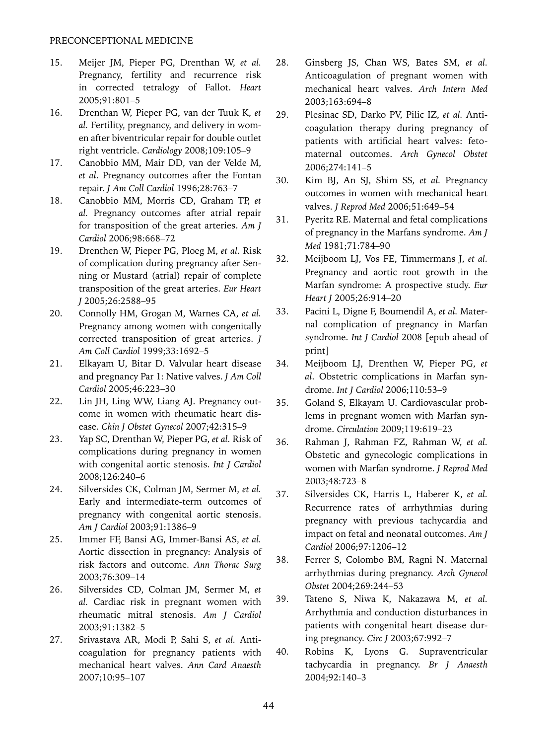- 15. Meijer JM, Pieper PG, Drenthan W, *et al.* Pregnancy, fertility and recurrence risk in corrected tetralogy of Fallot. *Heart* 2005;91:801–5
- 16. Drenthan W, Pieper PG, van der Tuuk K, *et al.* Fertility, pregnancy, and delivery in women after biventricular repair for double outlet right ventricle. *Cardiology* 2008;109:105–9
- 17. Canobbio MM, Mair DD, van der Velde M, *et al*. Pregnancy outcomes after the Fontan repair. *J Am Coll Cardiol* 1996;28:763–7
- 18. Canobbio MM, Morris CD, Graham TP, *et al.* Pregnancy outcomes after atrial repair for transposition of the great arteries. *Am J Cardiol* 2006;98:668–72
- 19. Drenthen W, Pieper PG, Ploeg M, *et al*. Risk of complication during pregnancy after Senning or Mustard (atrial) repair of complete transposition of the great arteries. *Eur Heart J* 2005;26:2588–95
- 20. Connolly HM, Grogan M, Warnes CA, *et al.* Pregnancy among women with congenitally corrected transposition of great arteries. *J Am Coll Cardiol* 1999;33:1692–5
- 21. Elkayam U, Bitar D. Valvular heart disease and pregnancy Par 1: Native valves. *J Am Coll Cardiol* 2005;46:223–30
- 22. Lin JH, Ling WW, Liang AJ. Pregnancy outcome in women with rheumatic heart disease. *Chin J Obstet Gynecol* 2007;42:315–9
- 23. Yap SC, Drenthan W, Pieper PG, *et al.* Risk of complications during pregnancy in women with congenital aortic stenosis. *Int J Cardiol*  2008;126:240–6
- 24. Silversides CK, Colman JM, Sermer M, *et al.*  Early and intermediate-term outcomes of pregnancy with congenital aortic stenosis. *Am J Cardiol* 2003;91:1386–9
- 25. Immer FF, Bansi AG, Immer-Bansi AS, *et al.*  Aortic dissection in pregnancy: Analysis of risk factors and outcome. *Ann Thorac Surg*  2003;76:309–14
- 26. Silversides CD, Colman JM, Sermer M, *et al.* Cardiac risk in pregnant women with rheumatic mitral stenosis. *Am J Cardiol*  2003;91:1382–5
- 27. Srivastava AR, Modi P, Sahi S, *et al.* Anticoagulation for pregnancy patients with mechanical heart valves. *Ann Card Anaesth*  2007;10:95–107
- 28. Ginsberg JS, Chan WS, Bates SM, *et al.*  Anticoagulation of pregnant women with mechanical heart valves. *Arch Intern Med*  2003;163:694–8
- 29. Plesinac SD, Darko PV, Pilic IZ, *et al.* Anticoagulation therapy during pregnancy of patients with artificial heart valves: fetomaternal outcomes. *Arch Gynecol Obstet*  2006;274:141–5
- 30. Kim BJ, An SJ, Shim SS, *et al.* Pregnancy outcomes in women with mechanical heart valves. *J Reprod Med* 2006;51:649–54
- 31. Pyeritz RE. Maternal and fetal complications of pregnancy in the Marfans syndrome. *Am J Med* 1981;71:784–90
- 32. Meijboom LJ, Vos FE, Timmermans J, *et al.* Pregnancy and aortic root growth in the Marfan syndrome: A prospective study. *Eur Heart J* 2005;26:914–20
- 33. Pacini L, Digne F, Boumendil A, *et al.* Maternal complication of pregnancy in Marfan syndrome. *Int J Cardiol* 2008 [epub ahead of print]
- 34. Meijboom LJ, Drenthen W, Pieper PG, *et al*. Obstetric complications in Marfan syndrome. *Int J Cardiol* 2006;110:53–9
- 35. Goland S, Elkayam U. Cardiovascular problems in pregnant women with Marfan syndrome. *Circulation* 2009;119:619–23
- 36. Rahman J, Rahman FZ, Rahman W, *et al.* Obstetic and gynecologic complications in women with Marfan syndrome. *J Reprod Med*  2003;48:723–8
- 37. Silversides CK, Harris L, Haberer K, *et al.*  Recurrence rates of arrhythmias during pregnancy with previous tachycardia and impact on fetal and neonatal outcomes. *Am J Cardiol* 2006;97:1206–12
- 38. Ferrer S, Colombo BM, Ragni N. Maternal arrhythmias during pregnancy. *Arch Gynecol Obstet* 2004;269:244–53
- 39. Tateno S, Niwa K, Nakazawa M, *et al.*  Arrhythmia and conduction disturbances in patients with congenital heart disease during pregnancy. *Circ J* 2003;67:992–7
- 40. Robins K, Lyons G. Supraventricular tachycardia in pregnancy. *Br J Anaesth* 2004;92:140–3